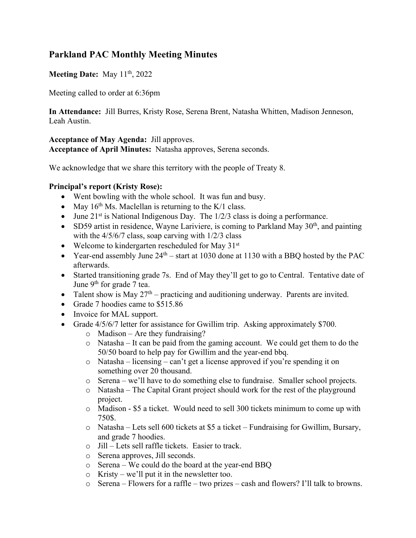# **Parkland PAC Monthly Meeting Minutes**

### **Meeting Date:** May 11<sup>th</sup>, 2022

Meeting called to order at 6:36pm

**In Attendance:** Jill Burres, Kristy Rose, Serena Brent, Natasha Whitten, Madison Jenneson, Leah Austin.

**Acceptance of May Agenda:** Jill approves. **Acceptance of April Minutes:** Natasha approves, Serena seconds.

We acknowledge that we share this territory with the people of Treaty 8.

#### **Principal's report (Kristy Rose):**

- Went bowling with the whole school. It was fun and busy.
- May  $16<sup>th</sup>$  Ms. Maclellan is returning to the K/1 class.
- June  $21^{st}$  is National Indigenous Day. The  $1/2/3$  class is doing a performance.
- SD59 artist in residence, Wayne Lariviere, is coming to Parkland May  $30<sup>th</sup>$ , and painting with the  $4/5/6/7$  class, soap carving with  $1/2/3$  class
- Welcome to kindergarten rescheduled for May  $31<sup>st</sup>$
- Year-end assembly June  $24<sup>th</sup> start$  at 1030 done at 1130 with a BBQ hosted by the PAC afterwards.
- Started transitioning grade 7s. End of May they'll get to go to Central. Tentative date of June 9<sup>th</sup> for grade 7 tea.
- Talent show is May  $27<sup>th</sup>$  practicing and auditioning underway. Parents are invited.
- Grade 7 hoodies came to \$515.86
- Invoice for MAL support.
- Grade 4/5/6/7 letter for assistance for Gwillim trip. Asking approximately \$700.
	- $\circ$  Madison Are they fundraising?
	- o Natasha It can be paid from the gaming account. We could get them to do the 50/50 board to help pay for Gwillim and the year-end bbq.
	- o Natasha licensing can't get a license approved if you're spending it on something over 20 thousand.
	- o Serena we'll have to do something else to fundraise. Smaller school projects.
	- $\circ$  Natasha The Capital Grant project should work for the rest of the playground project.
	- o Madison \$5 a ticket. Would need to sell 300 tickets minimum to come up with 750\$.
	- o Natasha Lets sell 600 tickets at \$5 a ticket Fundraising for Gwillim, Bursary, and grade 7 hoodies.
	- o Jill Lets sell raffle tickets. Easier to track.
	- o Serena approves, Jill seconds.
	- o Serena We could do the board at the year-end BBQ
	- o Kristy we'll put it in the newsletter too.
	- o Serena Flowers for a raffle two prizes cash and flowers? I'll talk to browns.